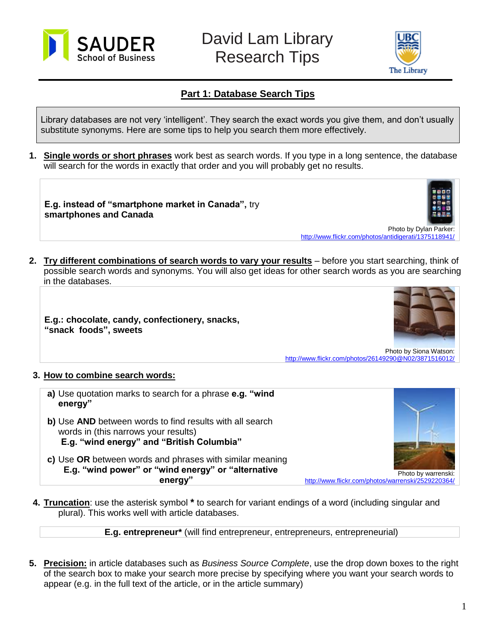



## **Part 1: Database Search Tips**

Library databases are not very 'intelligent'. They search the exact words you give them, and don't usually substitute synonyms. Here are some tips to help you search them more effectively.

**1. Single words or short phrases** work best as search words. If you type in a long sentence, the database will search for the words in exactly that order and you will probably get no results.

**E.g. instead of "smartphone market in Canada",** try **smartphones and Canada**



<http://www.flickr.com/photos/antidigerati/1375118941/>

**2. Try different combinations of search words to vary your results** – before you start searching, think of possible search words and synonyms. You will also get ideas for other search words as you are searching in the databases.

**E.g.: chocolate, candy, confectionery, snacks, "snack foods", sweets**



Photo by Siona Watson: <http://www.flickr.com/photos/26149290@N02/3871516012/>

## **3. How to combine search words:**

**a)** Use quotation marks to search for a phrase **e.g. "wind energy" b)** Use **AND** between words to find results with all search words in (this narrows your results) **E.g. "wind energy" and "British Columbia" c)** Use **OR** between words and phrases with similar meaning **E.g. "wind power" or "wind energy" or "alternative energy"**



Photo by warrenski: <http://www.flickr.com/photos/warrenski/2529220364/>

**4. Truncation**: use the asterisk symbol **\*** to search for variant endings of a word (including singular and plural). This works well with article databases.

**E.g. entrepreneur\*** (will find entrepreneur, entrepreneurs, entrepreneurial)

**5. Precision:** in article databases such as *Business Source Complete*, use the drop down boxes to the right of the search box to make your search more precise by specifying where you want your search words to appear (e.g. in the full text of the article, or in the article summary)